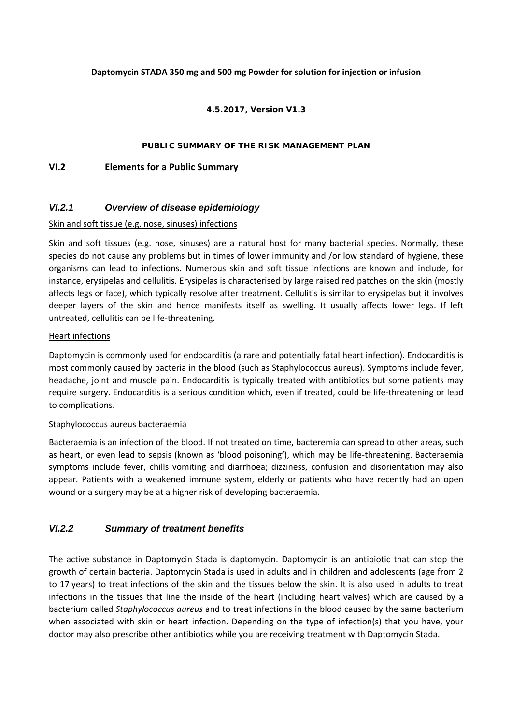#### **Daptomycin STADA 350 mg and 500 mg Powder for solution for injection or infusion**

#### **4.5.2017, Version V1.3**

#### **PUBLIC SUMMARY OF THE RISK MANAGEMENT PLAN**

### **VI.2 Elements for a Public Summary**

## *VI.2.1 Overview of disease epidemiology*

#### Skin and soft tissue (e.g. nose, sinuses) infections

Skin and soft tissues (e.g. nose, sinuses) are a natural host for many bacterial species. Normally, these species do not cause any problems but in times of lower immunity and /or low standard of hygiene, these organisms can lead to infections. Numerous skin and soft tissue infections are known and include, for instance, erysipelas and cellulitis. Erysipelas is characterised by large raised red patches on the skin (mostly affects legs or face), which typically resolve after treatment. Cellulitis is similar to erysipelas but it involves deeper layers of the skin and hence manifests itself as swelling. It usually affects lower legs. If left untreated, cellulitis can be life‐threatening.

#### Heart infections

Daptomycin is commonly used for endocarditis (a rare and potentially fatal heart infection). Endocarditis is most commonly caused by bacteria in the blood (such as Staphylococcus aureus). Symptoms include fever, headache, joint and muscle pain. Endocarditis is typically treated with antibiotics but some patients may require surgery. Endocarditis is a serious condition which, even if treated, could be life‐threatening or lead to complications.

#### Staphylococcus aureus bacteraemia

Bacteraemia is an infection of the blood. If not treated on time, bacteremia can spread to other areas, such as heart, or even lead to sepsis (known as 'blood poisoning'), which may be life‐threatening. Bacteraemia symptoms include fever, chills vomiting and diarrhoea; dizziness, confusion and disorientation may also appear. Patients with a weakened immune system, elderly or patients who have recently had an open wound or a surgery may be at a higher risk of developing bacteraemia.

## *VI.2.2 Summary of treatment benefits*

The active substance in Daptomycin Stada is daptomycin. Daptomycin is an antibiotic that can stop the growth of certain bacteria. Daptomycin Stada is used in adults and in children and adolescents (age from 2 to 17 years) to treat infections of the skin and the tissues below the skin. It is also used in adults to treat infections in the tissues that line the inside of the heart (including heart valves) which are caused by a bacterium called *Staphylococcus aureus* and to treat infections in the blood caused by the same bacterium when associated with skin or heart infection. Depending on the type of infection(s) that you have, your doctor may also prescribe other antibiotics while you are receiving treatment with Daptomycin Stada.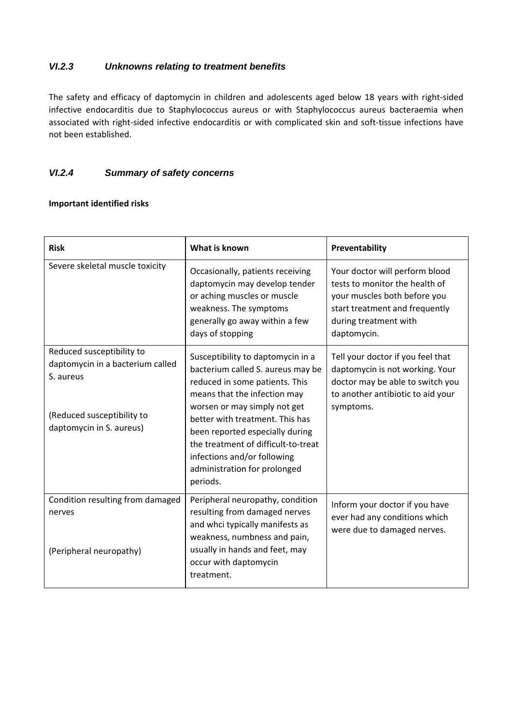## *VI.2.3 Unknowns relating to treatment benefits*

The safety and efficacy of daptomycin in children and adolescents aged below 18 years with right‐sided infective endocarditis due to Staphylococcus aureus or with Staphylococcus aureus bacteraemia when associated with right-sided infective endocarditis or with complicated skin and soft-tissue infections have not been established.

## *VI.2.4 Summary of safety concerns*

## **Important identified risks**

| <b>Risk</b>                                                                                                                          | What is known                                                                                                                                                                                                                                                                                                                                                    | Preventability                                                                                                                                                             |
|--------------------------------------------------------------------------------------------------------------------------------------|------------------------------------------------------------------------------------------------------------------------------------------------------------------------------------------------------------------------------------------------------------------------------------------------------------------------------------------------------------------|----------------------------------------------------------------------------------------------------------------------------------------------------------------------------|
| Severe skeletal muscle toxicity                                                                                                      | Occasionally, patients receiving<br>daptomycin may develop tender<br>or aching muscles or muscle<br>weakness. The symptoms<br>generally go away within a few<br>days of stopping                                                                                                                                                                                 | Your doctor will perform blood<br>tests to monitor the health of<br>your muscles both before you<br>start treatment and frequently<br>during treatment with<br>daptomycin. |
| Reduced susceptibility to<br>daptomycin in a bacterium called<br>S. aureus<br>(Reduced susceptibility to<br>daptomycin in S. aureus) | Susceptibility to daptomycin in a<br>bacterium called S. aureus may be<br>reduced in some patients. This<br>means that the infection may<br>worsen or may simply not get<br>better with treatment. This has<br>been reported especially during<br>the treatment of difficult-to-treat<br>infections and/or following<br>administration for prolonged<br>periods. | Tell your doctor if you feel that<br>daptomycin is not working. Your<br>doctor may be able to switch you<br>to another antibiotic to aid your<br>symptoms.                 |
| Condition resulting from damaged<br>nerves<br>(Peripheral neuropathy)                                                                | Peripheral neuropathy, condition<br>resulting from damaged nerves<br>and whci typically manifests as<br>weakness, numbness and pain,<br>usually in hands and feet, may<br>occur with daptomycin<br>treatment.                                                                                                                                                    | Inform your doctor if you have<br>ever had any conditions which<br>were due to damaged nerves.                                                                             |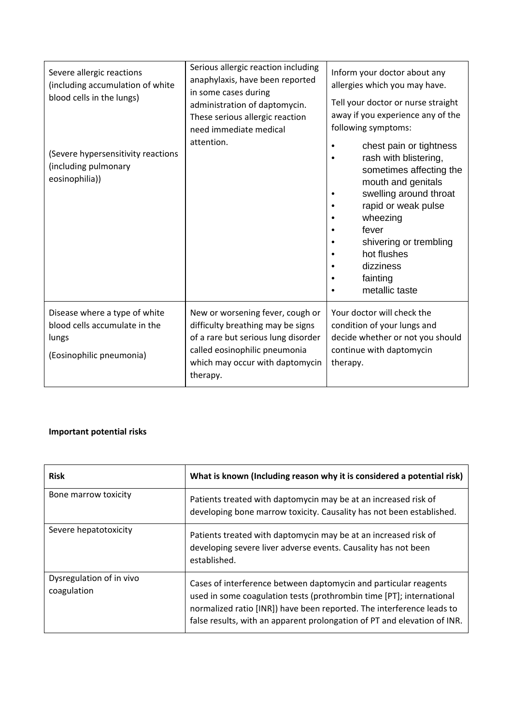| Severe allergic reactions<br>(including accumulation of white<br>blood cells in the lungs)<br>(Severe hypersensitivity reactions<br>(including pulmonary<br>eosinophilia)) | Serious allergic reaction including<br>anaphylaxis, have been reported<br>in some cases during<br>administration of daptomycin.<br>These serious allergic reaction<br>need immediate medical<br>attention. | Inform your doctor about any<br>allergies which you may have.<br>Tell your doctor or nurse straight<br>away if you experience any of the<br>following symptoms:<br>chest pain or tightness<br>$\bullet$<br>rash with blistering,<br>sometimes affecting the<br>mouth and genitals<br>swelling around throat<br>rapid or weak pulse<br>wheezing<br>fever<br>shivering or trembling<br>hot flushes<br>dizziness<br>fainting<br>metallic taste |
|----------------------------------------------------------------------------------------------------------------------------------------------------------------------------|------------------------------------------------------------------------------------------------------------------------------------------------------------------------------------------------------------|---------------------------------------------------------------------------------------------------------------------------------------------------------------------------------------------------------------------------------------------------------------------------------------------------------------------------------------------------------------------------------------------------------------------------------------------|
| Disease where a type of white<br>blood cells accumulate in the<br>lungs<br>(Eosinophilic pneumonia)                                                                        | New or worsening fever, cough or<br>difficulty breathing may be signs<br>of a rare but serious lung disorder<br>called eosinophilic pneumonia<br>which may occur with daptomycin<br>therapy.               | Your doctor will check the<br>condition of your lungs and<br>decide whether or not you should<br>continue with daptomycin<br>therapy.                                                                                                                                                                                                                                                                                                       |

## **Important potential risks**

| <b>Risk</b>                             | What is known (Including reason why it is considered a potential risk)                                                                                                                                                                                                                        |
|-----------------------------------------|-----------------------------------------------------------------------------------------------------------------------------------------------------------------------------------------------------------------------------------------------------------------------------------------------|
| Bone marrow toxicity                    | Patients treated with daptomycin may be at an increased risk of<br>developing bone marrow toxicity. Causality has not been established.                                                                                                                                                       |
| Severe hepatotoxicity                   | Patients treated with daptomycin may be at an increased risk of<br>developing severe liver adverse events. Causality has not been<br>established.                                                                                                                                             |
| Dysregulation of in vivo<br>coagulation | Cases of interference between daptomycin and particular reagents<br>used in some coagulation tests (prothrombin time [PT]; international<br>normalized ratio [INR]) have been reported. The interference leads to<br>false results, with an apparent prolongation of PT and elevation of INR. |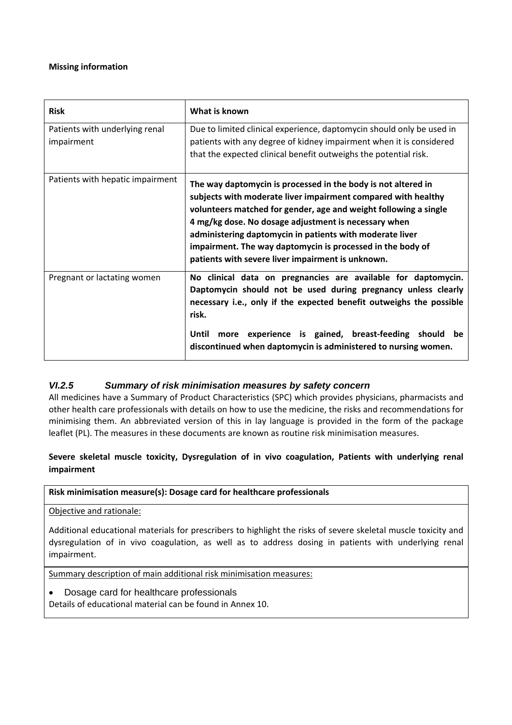### **Missing information**

| <b>Risk</b>                                  | What is known                                                                                                                                                                                                                                                                                                                                                                                                                             |
|----------------------------------------------|-------------------------------------------------------------------------------------------------------------------------------------------------------------------------------------------------------------------------------------------------------------------------------------------------------------------------------------------------------------------------------------------------------------------------------------------|
| Patients with underlying renal<br>impairment | Due to limited clinical experience, daptomycin should only be used in<br>patients with any degree of kidney impairment when it is considered<br>that the expected clinical benefit outweighs the potential risk.                                                                                                                                                                                                                          |
| Patients with hepatic impairment             | The way daptomycin is processed in the body is not altered in<br>subjects with moderate liver impairment compared with healthy<br>volunteers matched for gender, age and weight following a single<br>4 mg/kg dose. No dosage adjustment is necessary when<br>administering daptomycin in patients with moderate liver<br>impairment. The way daptomycin is processed in the body of<br>patients with severe liver impairment is unknown. |
| Pregnant or lactating women                  | No clinical data on pregnancies are available for daptomycin.<br>Daptomycin should not be used during pregnancy unless clearly<br>necessary i.e., only if the expected benefit outweighs the possible<br>risk.                                                                                                                                                                                                                            |
|                                              | more experience is gained, breast-feeding should be<br>Until<br>discontinued when daptomycin is administered to nursing women.                                                                                                                                                                                                                                                                                                            |

## *VI.2.5 Summary of risk minimisation measures by safety concern*

All medicines have a Summary of Product Characteristics (SPC) which provides physicians, pharmacists and other health care professionals with details on how to use the medicine, the risks and recommendations for minimising them. An abbreviated version of this in lay language is provided in the form of the package leaflet (PL). The measures in these documents are known as routine risk minimisation measures.

## **Severe skeletal muscle toxicity, Dysregulation of in vivo coagulation, Patients with underlying renal impairment**

## **Risk minimisation measure(s): Dosage card for healthcare professionals**

Objective and rationale:

Additional educational materials for prescribers to highlight the risks of severe skeletal muscle toxicity and dysregulation of in vivo coagulation, as well as to address dosing in patients with underlying renal impairment.

Summary description of main additional risk minimisation measures:

Dosage card for healthcare professionals

Details of educational material can be found in Annex 10.